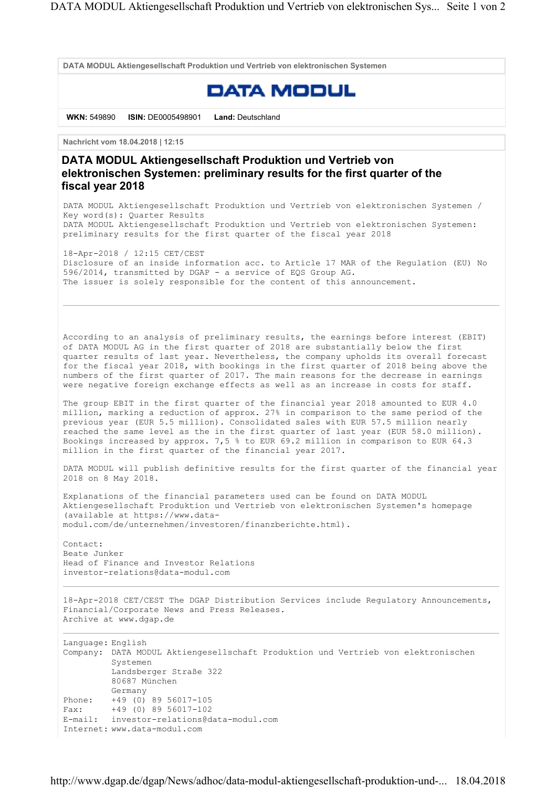